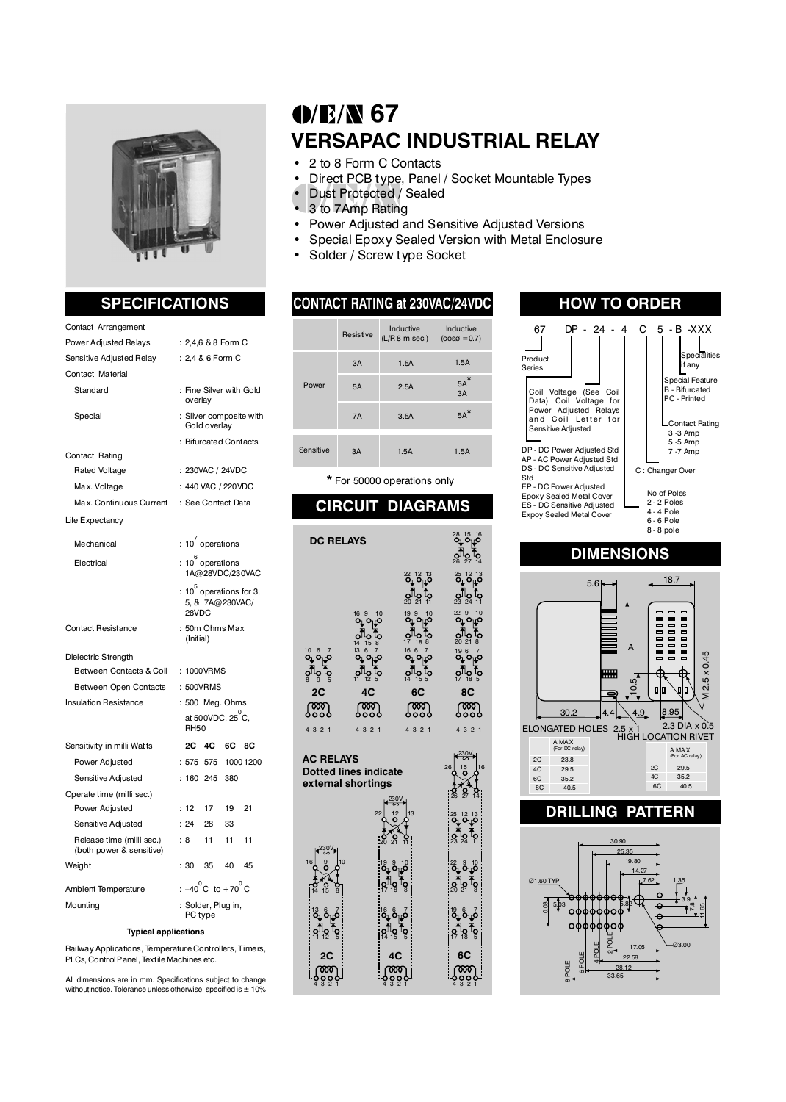

### Contact Arrangement

| <b>Power Adjusted Relays</b>                          | :2,4,6 & 8 Form C                                      |  |  |  |  |  |  |
|-------------------------------------------------------|--------------------------------------------------------|--|--|--|--|--|--|
| Sensitive Adjusted Relay                              | : 2,4 & 6 Form C                                       |  |  |  |  |  |  |
| Contact Material                                      |                                                        |  |  |  |  |  |  |
| Standard                                              | : Fine Silver with Gold<br>overlay                     |  |  |  |  |  |  |
| Special                                               | : Sliver composite with<br>Gold overlay                |  |  |  |  |  |  |
|                                                       | : Bifurcated Contacts                                  |  |  |  |  |  |  |
| Contact Rating                                        |                                                        |  |  |  |  |  |  |
| <b>Rated Voltage</b>                                  | : 230VAC / 24VDC                                       |  |  |  |  |  |  |
| Max. Voltage                                          | : 440 VAC / 220VDC                                     |  |  |  |  |  |  |
| Max. Continuous Current                               | : See Contact Data                                     |  |  |  |  |  |  |
| Life Expectancy                                       |                                                        |  |  |  |  |  |  |
| Mechanical                                            | : 10 operations                                        |  |  |  |  |  |  |
| Electrical                                            | $: 10^6$ operations<br>1A@28VDC/230VAC                 |  |  |  |  |  |  |
|                                                       | : $10^5$ operations for 3,<br>5, & 7A@230VAC/<br>28VDC |  |  |  |  |  |  |
| <b>Contact Resistance</b>                             | : 50m Ohms Max<br>(Initial)                            |  |  |  |  |  |  |
| Dielectric Strength                                   |                                                        |  |  |  |  |  |  |
| Between Contacts & Coil                               | : 1000VRMS                                             |  |  |  |  |  |  |
| Between Open Contacts                                 | : 500VRMS                                              |  |  |  |  |  |  |
| <b>Insulation Resistance</b>                          | : 500 Meg. Ohms                                        |  |  |  |  |  |  |
|                                                       | at 500VDC, 25 C,<br><b>RH50</b>                        |  |  |  |  |  |  |
| Sensitivity in milli Watts                            | 2С<br>4C<br>6C<br>8C                                   |  |  |  |  |  |  |
| Power Adjusted                                        | : 575<br>10001200<br>575                               |  |  |  |  |  |  |
| Sensitive Adjusted                                    | : 160 245<br>380                                       |  |  |  |  |  |  |
| Operate time (milli sec.)                             |                                                        |  |  |  |  |  |  |
| Power Adjusted                                        | : 12<br>17<br>19<br>21                                 |  |  |  |  |  |  |
| Sensitive Adjusted                                    | : 24<br>28<br>33                                       |  |  |  |  |  |  |
| Release time (milli sec.)<br>(both power & sensitive) | 11<br>11<br>11<br>: 8                                  |  |  |  |  |  |  |
| Weight                                                | : 30<br>35<br>40<br>45                                 |  |  |  |  |  |  |
| Ambient Temperature                                   | : $-40^{\circ}$ C to $+70^{\circ}$ C                   |  |  |  |  |  |  |
| Mounting                                              | : Solder, Plug in,<br>PC type                          |  |  |  |  |  |  |

### **Typical applications**

Railway Applications, Temperature Controllers, Timers, PLCs, Control Panel, Textile Machines etc.

All dimensions are in mm. Specifications subject to change without notice. Tolerance unless otherwise specified is  $\pm 10\%$ 

# **0/E/N 67 VERSAPAC INDUSTRIAL RELAY**

- 2 to 8 Form C Contacts<br>• Direct PCB type Panel
	- Direct PCB type, Panel / Socket Mountable Types
- Dust Protected / Sealed
- 3 to 7Amp Rating
- Power Adjusted and Sensitive Adjusted Versions
- Special Epoxy Sealed Version with Metal Enclosure
- Solder / Screw type Socket

### Resistive 3A Inductive (L/R 8 m sec.) 1.5A 1.5A Power 3A 1.5A 1.5A 5A 2.5A 5A  $3A$ 7A Sensitive  $3.5A$ Inductive (cosø =0.7)  $5A$ 5A\*

\* For 50000 operations only

## **CIRCUIT DIAGRAMS**

| <b>DC RELAYS</b>                                                                                                       | <sup>28</sup> <sup>15 16</sup><br><b>ပို့−ပိ</b> ု |                                                                                                                                                                                                                                                                                                       |                                                                                                                                                                                                                                                  |
|------------------------------------------------------------------------------------------------------------------------|----------------------------------------------------|-------------------------------------------------------------------------------------------------------------------------------------------------------------------------------------------------------------------------------------------------------------------------------------------------------|--------------------------------------------------------------------------------------------------------------------------------------------------------------------------------------------------------------------------------------------------|
|                                                                                                                        |                                                    |                                                                                                                                                                                                                                                                                                       | ဝါဝ (၃<br><sup>26 27 14</sup>                                                                                                                                                                                                                    |
|                                                                                                                        |                                                    | $\frac{22}{9}$ $\frac{12}{9}$ $\frac{13}{9}$                                                                                                                                                                                                                                                          | 25 12 13<br>O <sub>L</sub> O <sub>L</sub> O                                                                                                                                                                                                      |
|                                                                                                                        |                                                    | 20219                                                                                                                                                                                                                                                                                                 | <b>္ဂါ</b> ၀<br><sup>23 24</sup> 11                                                                                                                                                                                                              |
|                                                                                                                        | 16 9 10<br><b>O<sub>L</sub>O</b> LO                | $a^3b^3$                                                                                                                                                                                                                                                                                              | $229$ 0 10<br>O <sub>U</sub> O <sub>UO</sub> OUO                                                                                                                                                                                                 |
|                                                                                                                        | 010 to                                             | $\frac{1}{2}$ $\frac{1}{18}$ $\frac{1}{8}$                                                                                                                                                                                                                                                            |                                                                                                                                                                                                                                                  |
| 10 6 7<br><b>၀</b> ၂၀                                                                                                  |                                                    | $rac{16}{9}$ $rac{6}{9}$ $rac{7}{9}$ $rac{7}{9}$ $rac{16}{9}$ $rac{7}{9}$ $rac{7}{9}$ $rac{16}{9}$ $rac{7}{9}$ $rac{16}{9}$ $rac{7}{9}$ $rac{16}{9}$ $rac{7}{9}$ $rac{16}{9}$ $rac{7}{9}$ $rac{16}{9}$ $rac{7}{9}$ $rac{16}{9}$ $rac{7}{9}$ $rac{16}{9}$ $rac{7}{9}$ $rac{16}{9}$ $rac{7}{9}$ $rac{1$ | 19 6 7<br><b>၀</b> ၂၀၂၀<br>$\frac{1}{2}$ $\frac{1}{2}$ $\frac{1}{2}$ $\frac{1}{6}$                                                                                                                                                               |
| $\frac{1}{2}$ $\frac{1}{2}$ $\frac{1}{2}$<br>2C                                                                        | $\frac{1}{2}$ of $\frac{1}{2}$<br>4C               | 6C                                                                                                                                                                                                                                                                                                    | 8C                                                                                                                                                                                                                                               |
| ഞ്ഞു                                                                                                                   | က္လာ                                               | ഞ്ഞു                                                                                                                                                                                                                                                                                                  | ഞ്ജു                                                                                                                                                                                                                                             |
| 4 3 2 1                                                                                                                | 4321                                               | 4 3 2 1                                                                                                                                                                                                                                                                                               | 4 3 2 1                                                                                                                                                                                                                                          |
| <b>AC RELAYS</b><br>10<br>13 စိ <sub>ုပ</sub> ်<br>$\Omega_{12}^{10}$<br>੍ਰਿ<br>2C<br>၂000၂<br>၁၀၀၀<br><sup>4321</sup> | <b>Dotted lines indicate</b><br>external shortings | $\frac{12}{6}$ $\frac{13}{6}$<br>$\frac{19}{9}$ $\frac{9}{9}$ $\frac{10}{9}$<br>ဝ <sup>ဂ</sup> ဂ္ဂါဝွ (၃<br>ဖို့ စိ <sub>ုပ္</sub> ၀ိ<br>ဝါါဝ္ ဂ်<br><sup>14 15</sup> ၁<br>4C<br>က္ခ်ဳိတ္ရပ္                                                                                                          | 26<br>25 12 13<br><b>O<sub>L</sub>O</b> 10<br><b>္ဂ<sup>¶</sup>္ဂ ( -</b><br>23 24  11<br>$\frac{22}{9}$ $\frac{9}{9}$ $\frac{10}{9}$<br>ဝ္တ္သိုုဝ္ −<br>၁ ၁၊ − ၆<br>ဖို့စိ <sub>ု့</sub> ၀ိ<br>ဝါါဝ ါဝွ<br>17 18 ၁<br>6C<br>က္စြာ<br>နိဒ္ဒိဒ္ဒိ |

### **SPECIFICATIONS HOW TO ORDER CONTACT RATING at 230VAC/24VDC** 67 DP - 24 - 4 C 5 - B -XXX Product Series Specialities if any C : Changer Over No of Poles 2 - 2 Poles 4 - 4 Pole 6 - 6 Pole 8 - 8 pole  $\mathsf{l}$ Special Feature B - Bifurcated PC - Printed Contact Rating 3 -3 Amp 5 -5 Amp 7 -7 Amp Coil Voltage (See Coil Data) Coil Voltage for Power Adjusted Relays<br>and Coil Letter for Sensitive Adjusted DP - DC Power Adjusted Std AP - AC Power Adjusted Std DS - DC Sensitive Adjusted Std EP - DC Power Adjusted Epoxy Sealed Metal Cover ES - DC Sensitive Adjusted Expoy Sealed Metal Cover

### **DIMENSIONS**



### **DRILLING PATTERN**